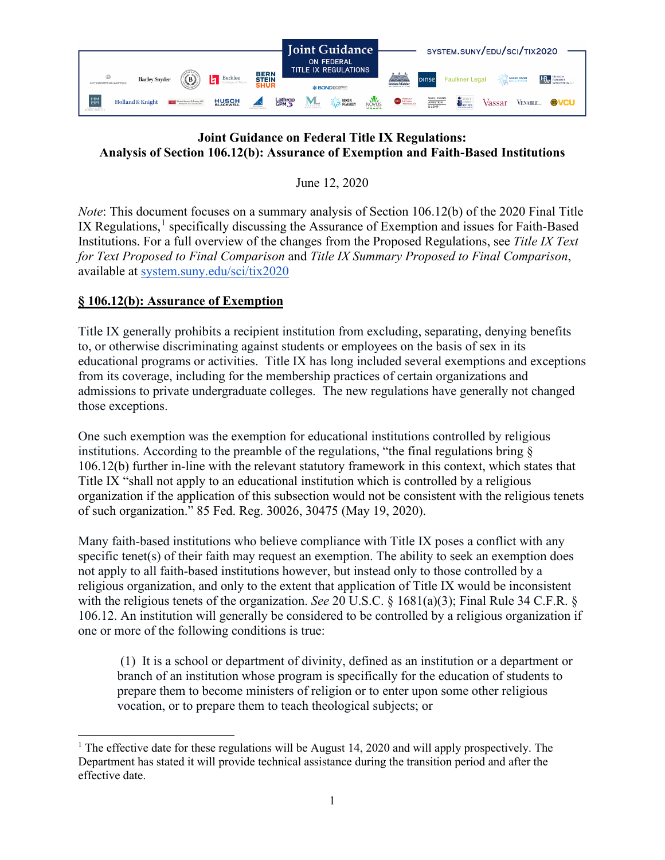

## **Joint Guidance on Federal Title IX Regulations: Analysis of Section 106.12(b): Assurance of Exemption and Faith-Based Institutions**

June 12, 2020

*Note*: This document focuses on a summary analysis of Section 106.12(b) of the 2020 Final Title IX Regulations,<sup>[1](#page-0-0)</sup> specifically discussing the Assurance of Exemption and issues for Faith-Based Institutions. For a full overview of the changes from the Proposed Regulations, see *Title IX Text for Text Proposed to Final Comparison* and *Title IX Summary Proposed to Final Comparison*, available at [system.suny.edu/sci/tix2020](https://system.suny.edu/sci/tix2020/)

## **§ 106.12(b): Assurance of Exemption**

Title IX generally prohibits a recipient institution from excluding, separating, denying benefits to, or otherwise discriminating against students or employees on the basis of sex in its educational programs or activities. Title IX has long included several exemptions and exceptions from its coverage, including for the membership practices of certain organizations and admissions to private undergraduate colleges. The new regulations have generally not changed those exceptions.

One such exemption was the exemption for educational institutions controlled by religious institutions. According to the preamble of the regulations, "the final regulations bring § 106.12(b) further in-line with the relevant statutory framework in this context, which states that Title IX "shall not apply to an educational institution which is controlled by a religious organization if the application of this subsection would not be consistent with the religious tenets of such organization." 85 Fed. Reg. 30026, 30475 (May 19, 2020).

Many faith-based institutions who believe compliance with Title IX poses a conflict with any specific tenet(s) of their faith may request an exemption. The ability to seek an exemption does not apply to all faith-based institutions however, but instead only to those controlled by a religious organization, and only to the extent that application of Title IX would be inconsistent with the religious tenets of the organization. *See* 20 U.S.C. § 1681(a)(3); Final Rule 34 C.F.R. § 106.12. An institution will generally be considered to be controlled by a religious organization if one or more of the following conditions is true:

(1) It is a school or department of divinity, defined as an institution or a department or branch of an institution whose program is specifically for the education of students to prepare them to become ministers of religion or to enter upon some other religious vocation, or to prepare them to teach theological subjects; or

<span id="page-0-0"></span><sup>&</sup>lt;sup>1</sup> The effective date for these regulations will be August 14, 2020 and will apply prospectively. The Department has stated it will provide technical assistance during the transition period and after the effective date.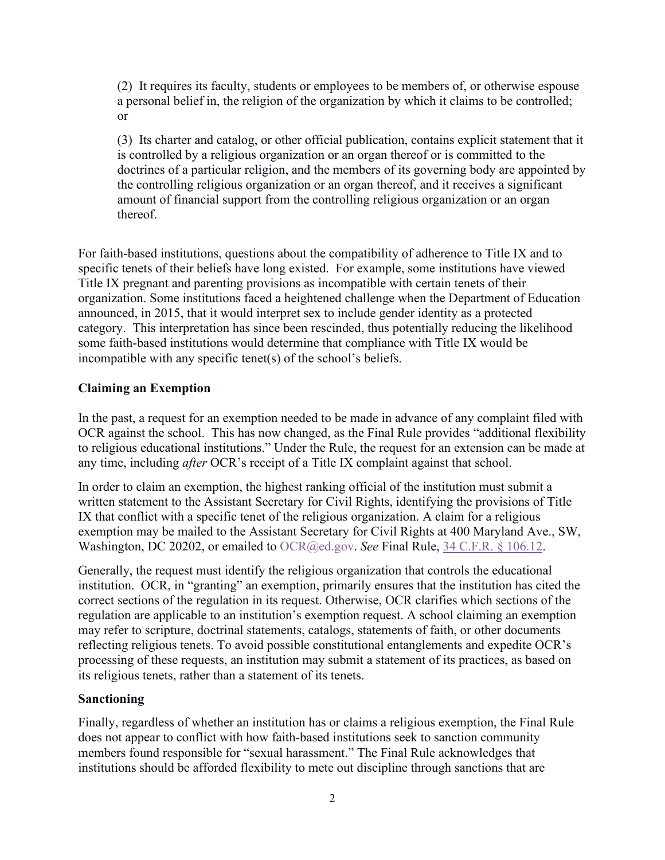(2) It requires its faculty, students or employees to be members of, or otherwise espouse a personal belief in, the religion of the organization by which it claims to be controlled; or

(3) Its charter and catalog, or other official publication, contains explicit statement that it is controlled by a religious organization or an organ thereof or is committed to the doctrines of a particular religion, and the members of its governing body are appointed by the controlling religious organization or an organ thereof, and it receives a significant amount of financial support from the controlling religious organization or an organ thereof.

For faith-based institutions, questions about the compatibility of adherence to Title IX and to specific tenets of their beliefs have long existed. For example, some institutions have viewed Title IX pregnant and parenting provisions as incompatible with certain tenets of their organization. Some institutions faced a heightened challenge when the Department of Education announced, in 2015, that it would interpret sex to include gender identity as a protected category. This interpretation has since been rescinded, thus potentially reducing the likelihood some faith-based institutions would determine that compliance with Title IX would be incompatible with any specific tenet(s) of the school's beliefs.

## **Claiming an Exemption**

In the past, a request for an exemption needed to be made in advance of any complaint filed with OCR against the school. This has now changed, as the Final Rule provides "additional flexibility to religious educational institutions." Under the Rule, the request for an extension can be made at any time, including *after* OCR's receipt of a Title IX complaint against that school.

In order to claim an exemption, the highest ranking official of the institution must submit a written statement to the Assistant Secretary for Civil Rights, identifying the provisions of Title IX that conflict with a specific tenet of the religious organization. A claim for a religious exemption may be mailed to the Assistant Secretary for Civil Rights at 400 Maryland Ave., SW, Washington, DC 20202, or emailed to OCR@ed.gov. *See* Final Rule, [34 C.F.R. § 106.12.](https://www2.ed.gov/policy/rights/reg/ocr/edlite-34cfr106.html#S12)

Generally, the request must identify the religious organization that controls the educational institution. OCR, in "granting" an exemption, primarily ensures that the institution has cited the correct sections of the regulation in its request. Otherwise, OCR clarifies which sections of the regulation are applicable to an institution's exemption request. A school claiming an exemption may refer to scripture, doctrinal statements, catalogs, statements of faith, or other documents reflecting religious tenets. To avoid possible constitutional entanglements and expedite OCR's processing of these requests, an institution may submit a statement of its practices, as based on its religious tenets, rather than a statement of its tenets.

## **Sanctioning**

Finally, regardless of whether an institution has or claims a religious exemption, the Final Rule does not appear to conflict with how faith-based institutions seek to sanction community members found responsible for "sexual harassment." The Final Rule acknowledges that institutions should be afforded flexibility to mete out discipline through sanctions that are